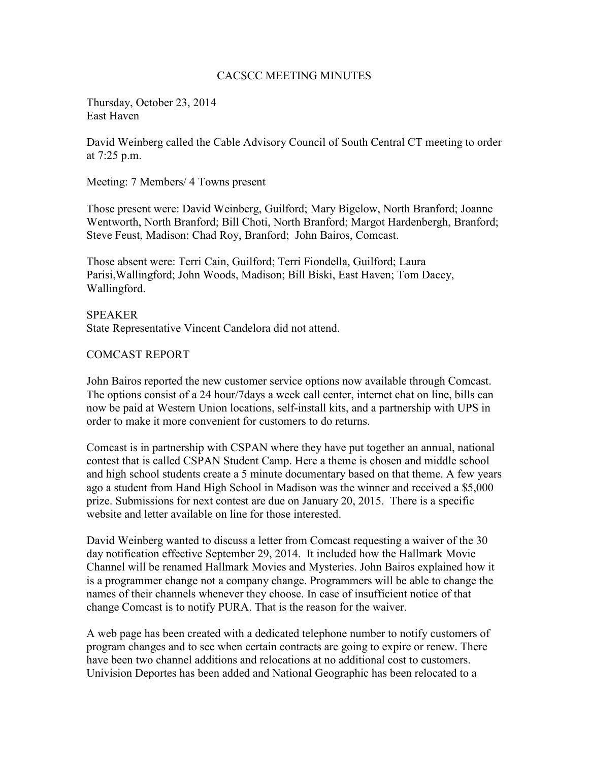#### CACSCC MEETING MINUTES

Thursday, October 23, 2014 East Haven

David Weinberg called the Cable Advisory Council of South Central CT meeting to order at 7:25 p.m.

Meeting: 7 Members/ 4 Towns present

Those present were: David Weinberg, Guilford; Mary Bigelow, North Branford; Joanne Wentworth, North Branford; Bill Choti, North Branford; Margot Hardenbergh, Branford; Steve Feust, Madison: Chad Roy, Branford; John Bairos, Comcast.

Those absent were: Terri Cain, Guilford; Terri Fiondella, Guilford; Laura Parisi,Wallingford; John Woods, Madison; Bill Biski, East Haven; Tom Dacey, Wallingford.

SPEAKER State Representative Vincent Candelora did not attend.

# COMCAST REPORT

John Bairos reported the new customer service options now available through Comcast. The options consist of a 24 hour/7days a week call center, internet chat on line, bills can now be paid at Western Union locations, self-install kits, and a partnership with UPS in order to make it more convenient for customers to do returns.

Comcast is in partnership with CSPAN where they have put together an annual, national contest that is called CSPAN Student Camp. Here a theme is chosen and middle school and high school students create a 5 minute documentary based on that theme. A few years ago a student from Hand High School in Madison was the winner and received a \$5,000 prize. Submissions for next contest are due on January 20, 2015. There is a specific website and letter available on line for those interested.

David Weinberg wanted to discuss a letter from Comcast requesting a waiver of the 30 day notification effective September 29, 2014. It included how the Hallmark Movie Channel will be renamed Hallmark Movies and Mysteries. John Bairos explained how it is a programmer change not a company change. Programmers will be able to change the names of their channels whenever they choose. In case of insufficient notice of that change Comcast is to notify PURA. That is the reason for the waiver.

A web page has been created with a dedicated telephone number to notify customers of program changes and to see when certain contracts are going to expire or renew. There have been two channel additions and relocations at no additional cost to customers. Univision Deportes has been added and National Geographic has been relocated to a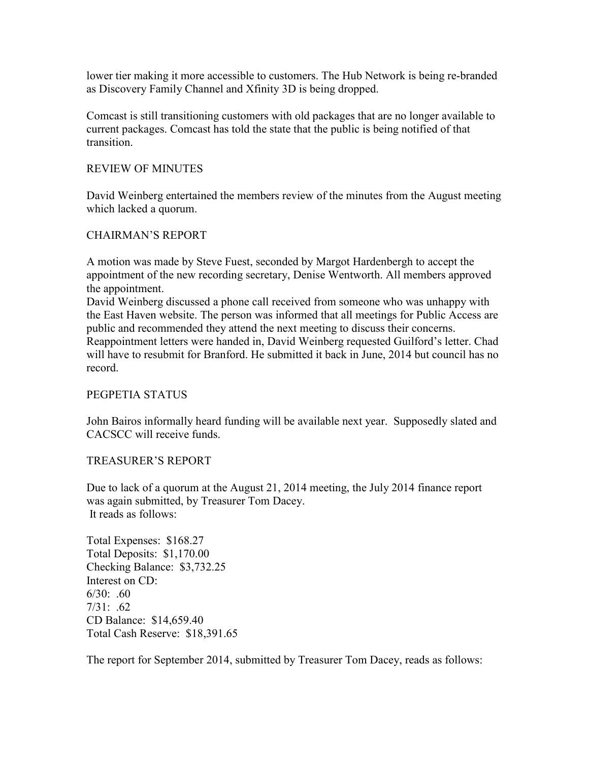lower tier making it more accessible to customers. The Hub Network is being re-branded as Discovery Family Channel and Xfinity 3D is being dropped.

Comcast is still transitioning customers with old packages that are no longer available to current packages. Comcast has told the state that the public is being notified of that transition.

# REVIEW OF MINUTES

David Weinberg entertained the members review of the minutes from the August meeting which lacked a quorum.

# CHAIRMAN'S REPORT

A motion was made by Steve Fuest, seconded by Margot Hardenbergh to accept the appointment of the new recording secretary, Denise Wentworth. All members approved the appointment.

David Weinberg discussed a phone call received from someone who was unhappy with the East Haven website. The person was informed that all meetings for Public Access are public and recommended they attend the next meeting to discuss their concerns. Reappointment letters were handed in, David Weinberg requested Guilford's letter. Chad will have to resubmit for Branford. He submitted it back in June, 2014 but council has no record.

# PEGPETIA STATUS

John Bairos informally heard funding will be available next year. Supposedly slated and CACSCC will receive funds.

# TREASURER'S REPORT

Due to lack of a quorum at the August 21, 2014 meeting, the July 2014 finance report was again submitted, by Treasurer Tom Dacey. It reads as follows:

Total Expenses: \$168.27 Total Deposits: \$1,170.00 Checking Balance: \$3,732.25 Interest on CD:  $6/30$ : .60  $7/31: .62$ CD Balance: \$14,659.40 Total Cash Reserve: \$18,391.65

The report for September 2014, submitted by Treasurer Tom Dacey, reads as follows: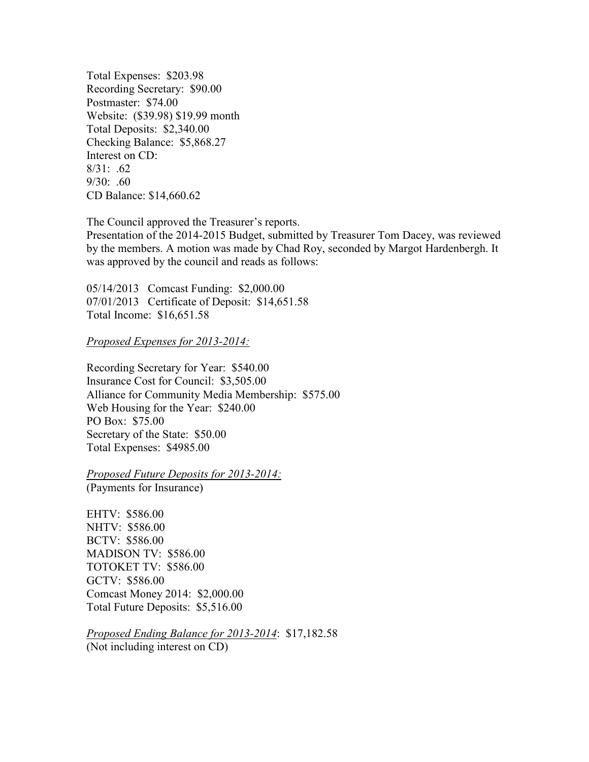Total Expenses: \$203.98 Recording Secretary: \$90.00 Postmaster: \$74.00 Website: (\$39.98) \$19.99 month Total Deposits: \$2,340.00 Checking Balance: \$5,868.27 Interest on CD: 8/31: .62 9/30: .60 CD Balance: \$14,660.62

The Council approved the Treasurer's reports.

Presentation of the 2014-2015 Budget, submitted by Treasurer Tom Dacey, was reviewed by the members. A motion was made by Chad Roy, seconded by Margot Hardenbergh. It was approved by the council and reads as follows:

05/14/2013 Comcast Funding: \$2,000.00 07/01/2013 Certificate of Deposit: \$14,651.58 Total Income: \$16,651.58

*Proposed Expenses for 2013-2014:* 

Recording Secretary for Year: \$540.00 Insurance Cost for Council: \$3,505.00 Alliance for Community Media Membership: \$575.00 Web Housing for the Year: \$240.00 PO Box: \$75.00 Secretary of the State: \$50.00 Total Expenses: \$4985.00

*Proposed Future Deposits for 2013-2014:* 

(Payments for Insurance)

EHTV: \$586.00 NHTV: \$586.00 BCTV: \$586.00 MADISON TV: \$586.00 TOTOKET TV: \$586.00 GCTV: \$586.00 Comcast Money 2014: \$2,000.00 Total Future Deposits: \$5,516.00

*Proposed Ending Balance for 2013-2014*: \$17,182.58 (Not including interest on CD)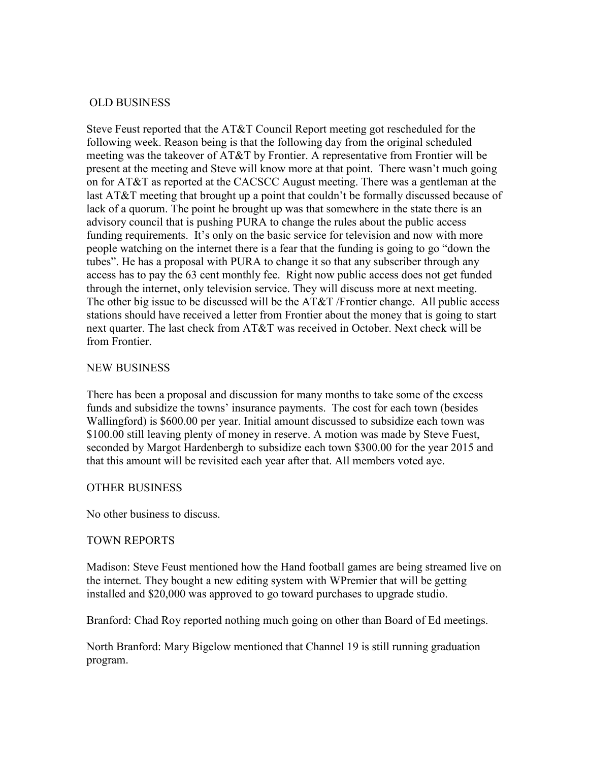# OLD BUSINESS

Steve Feust reported that the AT&T Council Report meeting got rescheduled for the following week. Reason being is that the following day from the original scheduled meeting was the takeover of AT&T by Frontier. A representative from Frontier will be present at the meeting and Steve will know more at that point. There wasn't much going on for AT&T as reported at the CACSCC August meeting. There was a gentleman at the last AT&T meeting that brought up a point that couldn't be formally discussed because of lack of a quorum. The point he brought up was that somewhere in the state there is an advisory council that is pushing PURA to change the rules about the public access funding requirements. It's only on the basic service for television and now with more people watching on the internet there is a fear that the funding is going to go "down the tubes". He has a proposal with PURA to change it so that any subscriber through any access has to pay the 63 cent monthly fee. Right now public access does not get funded through the internet, only television service. They will discuss more at next meeting. The other big issue to be discussed will be the AT&T /Frontier change. All public access stations should have received a letter from Frontier about the money that is going to start next quarter. The last check from AT&T was received in October. Next check will be from Frontier.

# NEW BUSINESS

There has been a proposal and discussion for many months to take some of the excess funds and subsidize the towns' insurance payments. The cost for each town (besides Wallingford) is \$600.00 per year. Initial amount discussed to subsidize each town was \$100.00 still leaving plenty of money in reserve. A motion was made by Steve Fuest, seconded by Margot Hardenbergh to subsidize each town \$300.00 for the year 2015 and that this amount will be revisited each year after that. All members voted aye.

# OTHER BUSINESS

No other business to discuss.

# TOWN REPORTS

Madison: Steve Feust mentioned how the Hand football games are being streamed live on the internet. They bought a new editing system with WPremier that will be getting installed and \$20,000 was approved to go toward purchases to upgrade studio.

Branford: Chad Roy reported nothing much going on other than Board of Ed meetings.

North Branford: Mary Bigelow mentioned that Channel 19 is still running graduation program.